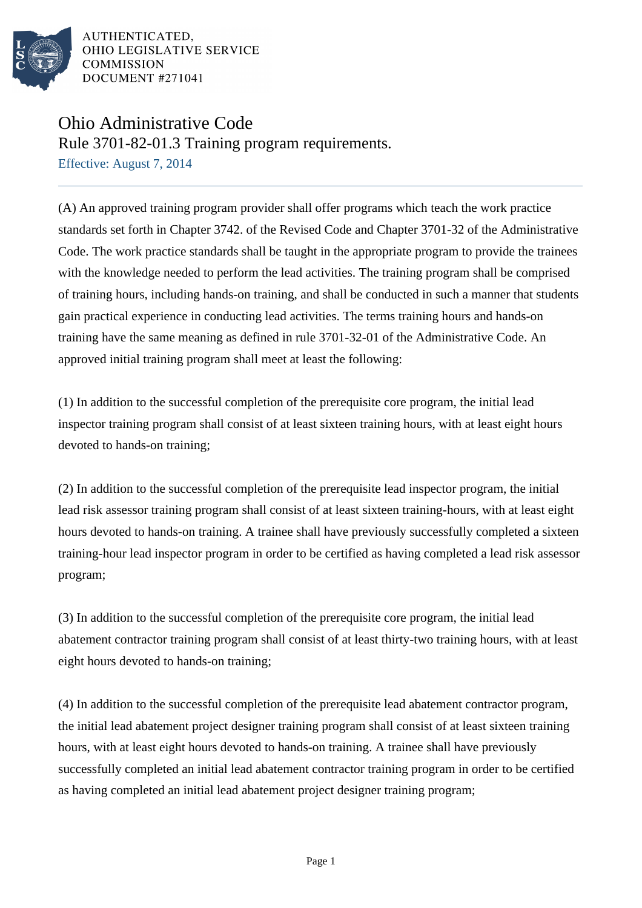

## Ohio Administrative Code

Rule 3701-82-01.3 Training program requirements.

Effective: August 7, 2014

(A) An approved training program provider shall offer programs which teach the work practice standards set forth in Chapter 3742. of the Revised Code and Chapter 3701-32 of the Administrative Code. The work practice standards shall be taught in the appropriate program to provide the trainees with the knowledge needed to perform the lead activities. The training program shall be comprised of training hours, including hands-on training, and shall be conducted in such a manner that students gain practical experience in conducting lead activities. The terms training hours and hands-on training have the same meaning as defined in rule 3701-32-01 of the Administrative Code. An approved initial training program shall meet at least the following:

(1) In addition to the successful completion of the prerequisite core program, the initial lead inspector training program shall consist of at least sixteen training hours, with at least eight hours devoted to hands-on training;

(2) In addition to the successful completion of the prerequisite lead inspector program, the initial lead risk assessor training program shall consist of at least sixteen training-hours, with at least eight hours devoted to hands-on training. A trainee shall have previously successfully completed a sixteen training-hour lead inspector program in order to be certified as having completed a lead risk assessor program;

(3) In addition to the successful completion of the prerequisite core program, the initial lead abatement contractor training program shall consist of at least thirty-two training hours, with at least eight hours devoted to hands-on training;

(4) In addition to the successful completion of the prerequisite lead abatement contractor program, the initial lead abatement project designer training program shall consist of at least sixteen training hours, with at least eight hours devoted to hands-on training. A trainee shall have previously successfully completed an initial lead abatement contractor training program in order to be certified as having completed an initial lead abatement project designer training program;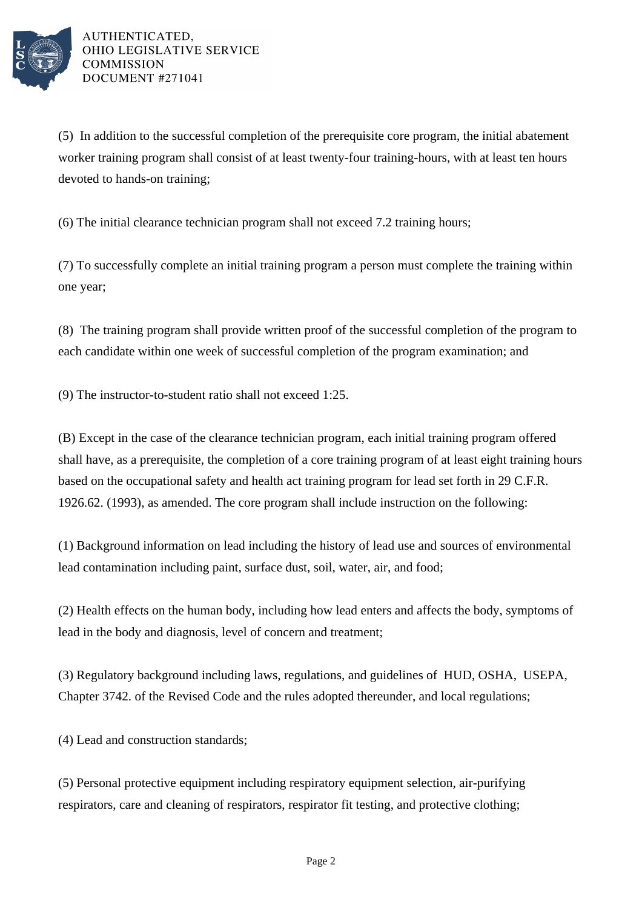

(5) In addition to the successful completion of the prerequisite core program, the initial abatement worker training program shall consist of at least twenty-four training-hours, with at least ten hours devoted to hands-on training;

(6) The initial clearance technician program shall not exceed 7.2 training hours;

(7) To successfully complete an initial training program a person must complete the training within one year;

(8) The training program shall provide written proof of the successful completion of the program to each candidate within one week of successful completion of the program examination; and

(9) The instructor-to-student ratio shall not exceed 1:25.

(B) Except in the case of the clearance technician program, each initial training program offered shall have, as a prerequisite, the completion of a core training program of at least eight training hours based on the occupational safety and health act training program for lead set forth in 29 C.F.R. 1926.62. (1993), as amended. The core program shall include instruction on the following:

(1) Background information on lead including the history of lead use and sources of environmental lead contamination including paint, surface dust, soil, water, air, and food;

(2) Health effects on the human body, including how lead enters and affects the body, symptoms of lead in the body and diagnosis, level of concern and treatment;

(3) Regulatory background including laws, regulations, and guidelines of HUD, OSHA, USEPA, Chapter 3742. of the Revised Code and the rules adopted thereunder, and local regulations;

(4) Lead and construction standards;

(5) Personal protective equipment including respiratory equipment selection, air-purifying respirators, care and cleaning of respirators, respirator fit testing, and protective clothing;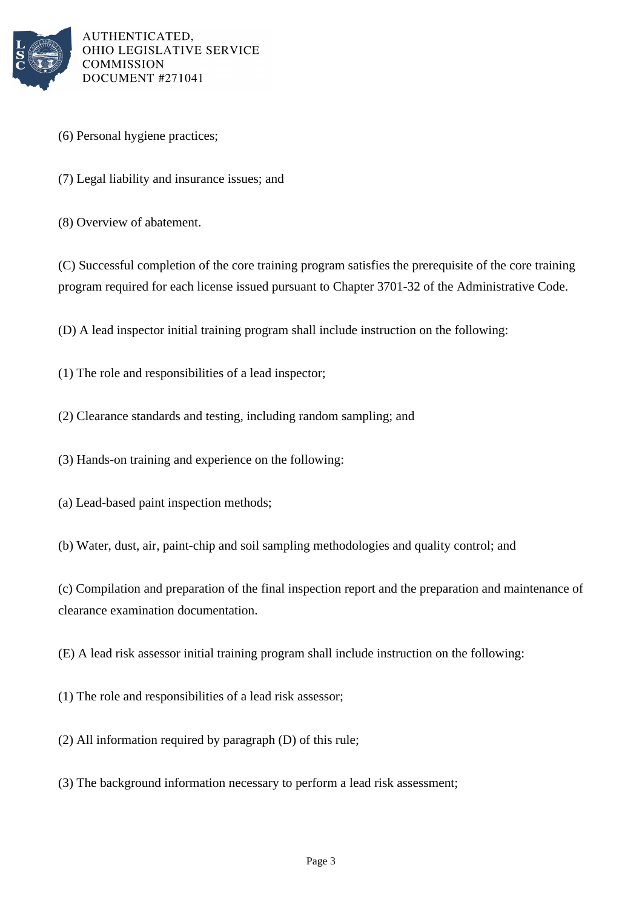

- (6) Personal hygiene practices;
- (7) Legal liability and insurance issues; and
- (8) Overview of abatement.

(C) Successful completion of the core training program satisfies the prerequisite of the core training program required for each license issued pursuant to Chapter 3701-32 of the Administrative Code.

(D) A lead inspector initial training program shall include instruction on the following:

(1) The role and responsibilities of a lead inspector;

(2) Clearance standards and testing, including random sampling; and

(3) Hands-on training and experience on the following:

(a) Lead-based paint inspection methods;

(b) Water, dust, air, paint-chip and soil sampling methodologies and quality control; and

(c) Compilation and preparation of the final inspection report and the preparation and maintenance of clearance examination documentation.

(E) A lead risk assessor initial training program shall include instruction on the following:

(1) The role and responsibilities of a lead risk assessor;

(2) All information required by paragraph (D) of this rule;

(3) The background information necessary to perform a lead risk assessment;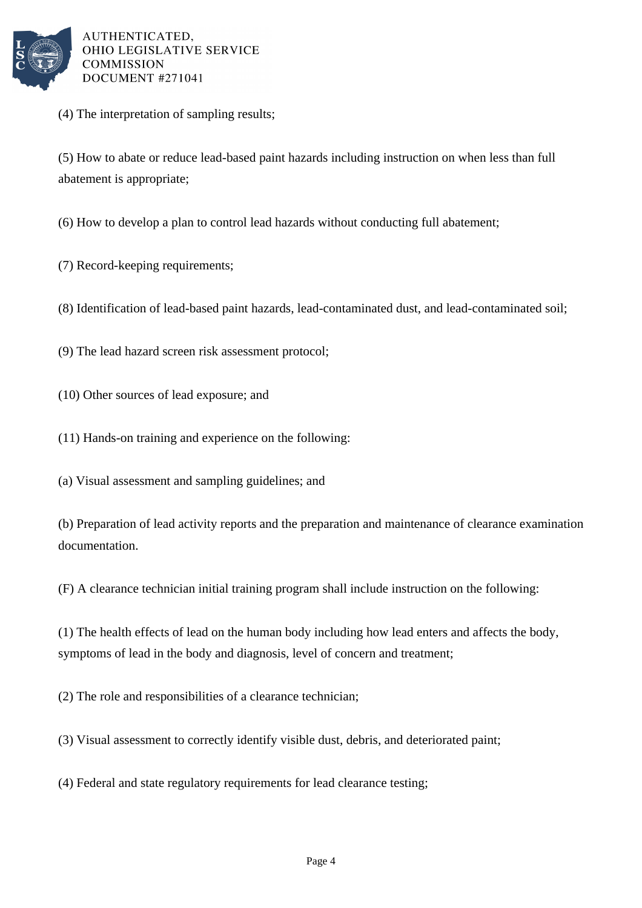

(4) The interpretation of sampling results;

(5) How to abate or reduce lead-based paint hazards including instruction on when less than full abatement is appropriate;

- (6) How to develop a plan to control lead hazards without conducting full abatement;
- (7) Record-keeping requirements;
- (8) Identification of lead-based paint hazards, lead-contaminated dust, and lead-contaminated soil;
- (9) The lead hazard screen risk assessment protocol;
- (10) Other sources of lead exposure; and
- (11) Hands-on training and experience on the following:
- (a) Visual assessment and sampling guidelines; and

(b) Preparation of lead activity reports and the preparation and maintenance of clearance examination documentation.

(F) A clearance technician initial training program shall include instruction on the following:

(1) The health effects of lead on the human body including how lead enters and affects the body, symptoms of lead in the body and diagnosis, level of concern and treatment;

(2) The role and responsibilities of a clearance technician;

(3) Visual assessment to correctly identify visible dust, debris, and deteriorated paint;

(4) Federal and state regulatory requirements for lead clearance testing;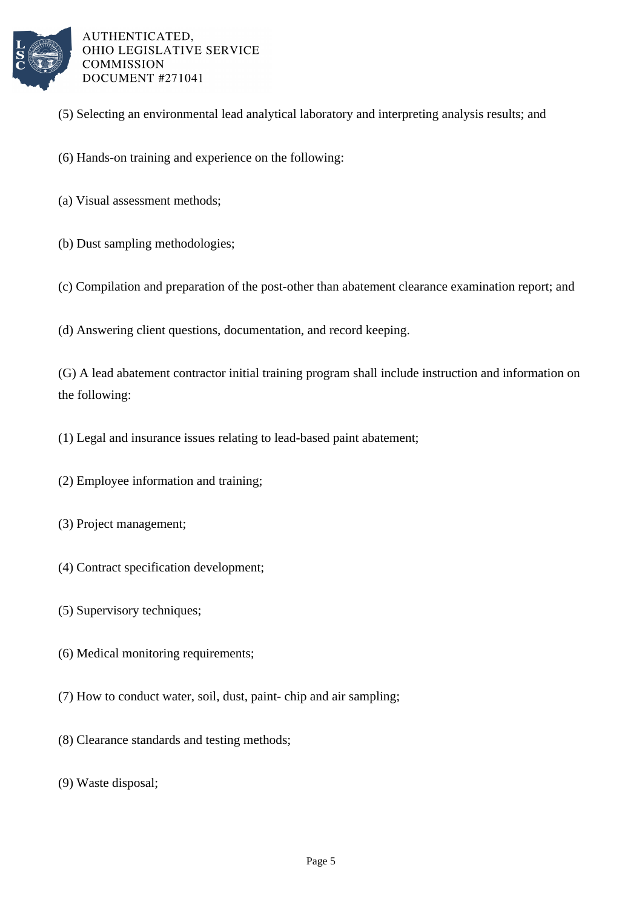

- (5) Selecting an environmental lead analytical laboratory and interpreting analysis results; and
- (6) Hands-on training and experience on the following:
- (a) Visual assessment methods;
- (b) Dust sampling methodologies;
- (c) Compilation and preparation of the post-other than abatement clearance examination report; and
- (d) Answering client questions, documentation, and record keeping.

(G) A lead abatement contractor initial training program shall include instruction and information on the following:

- (1) Legal and insurance issues relating to lead-based paint abatement;
- (2) Employee information and training;
- (3) Project management;
- (4) Contract specification development;
- (5) Supervisory techniques;
- (6) Medical monitoring requirements;
- (7) How to conduct water, soil, dust, paint- chip and air sampling;
- (8) Clearance standards and testing methods;
- (9) Waste disposal;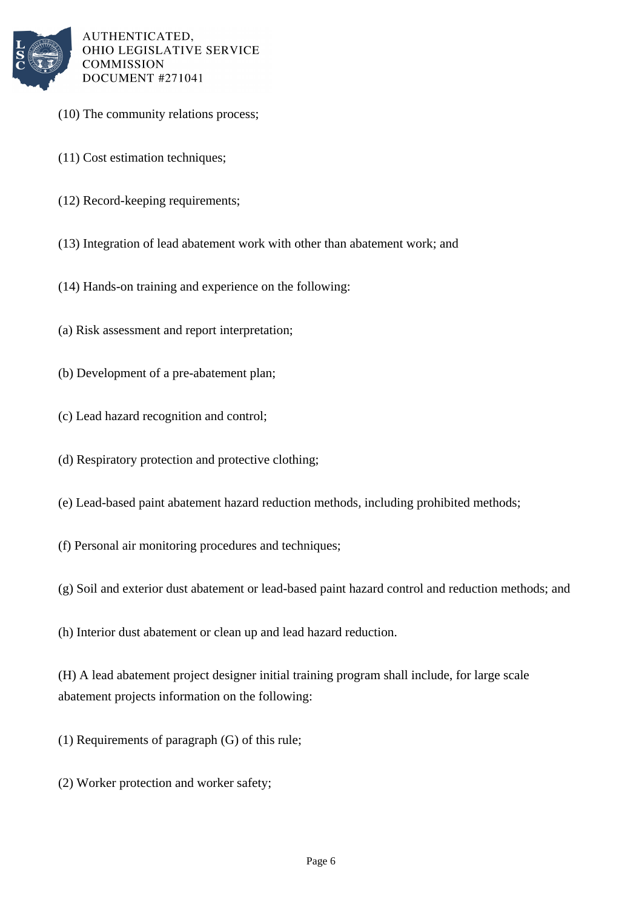

- (10) The community relations process;
- (11) Cost estimation techniques;
- (12) Record-keeping requirements;
- (13) Integration of lead abatement work with other than abatement work; and
- (14) Hands-on training and experience on the following:
- (a) Risk assessment and report interpretation;
- (b) Development of a pre-abatement plan;
- (c) Lead hazard recognition and control;
- (d) Respiratory protection and protective clothing;
- (e) Lead-based paint abatement hazard reduction methods, including prohibited methods;
- (f) Personal air monitoring procedures and techniques;
- (g) Soil and exterior dust abatement or lead-based paint hazard control and reduction methods; and

(h) Interior dust abatement or clean up and lead hazard reduction.

(H) A lead abatement project designer initial training program shall include, for large scale abatement projects information on the following:

- (1) Requirements of paragraph (G) of this rule;
- (2) Worker protection and worker safety;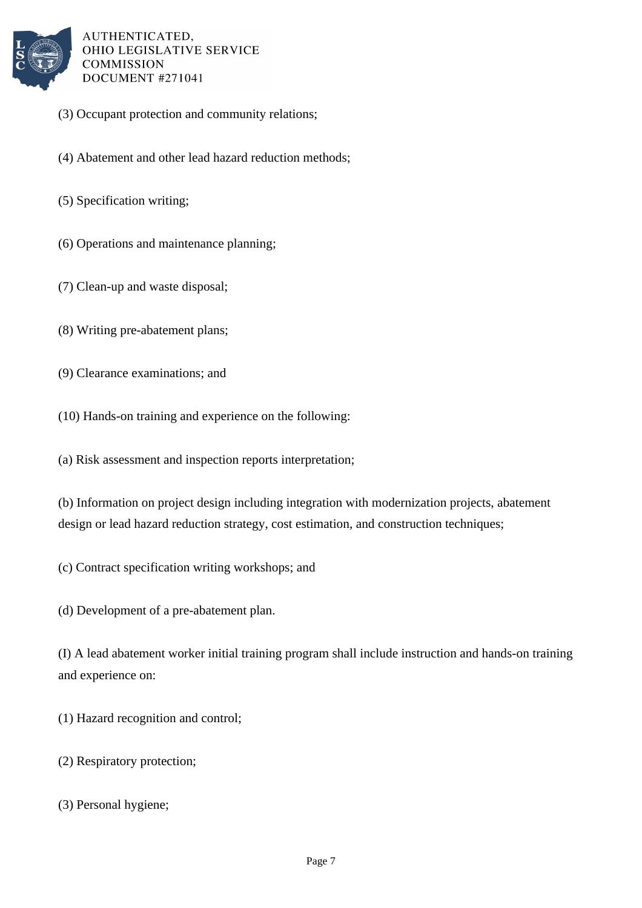

- (3) Occupant protection and community relations;
- (4) Abatement and other lead hazard reduction methods;
- (5) Specification writing;
- (6) Operations and maintenance planning;
- (7) Clean-up and waste disposal;
- (8) Writing pre-abatement plans;
- (9) Clearance examinations; and
- (10) Hands-on training and experience on the following:
- (a) Risk assessment and inspection reports interpretation;

(b) Information on project design including integration with modernization projects, abatement design or lead hazard reduction strategy, cost estimation, and construction techniques;

(c) Contract specification writing workshops; and

(d) Development of a pre-abatement plan.

(I) A lead abatement worker initial training program shall include instruction and hands-on training and experience on:

(1) Hazard recognition and control;

(2) Respiratory protection;

(3) Personal hygiene;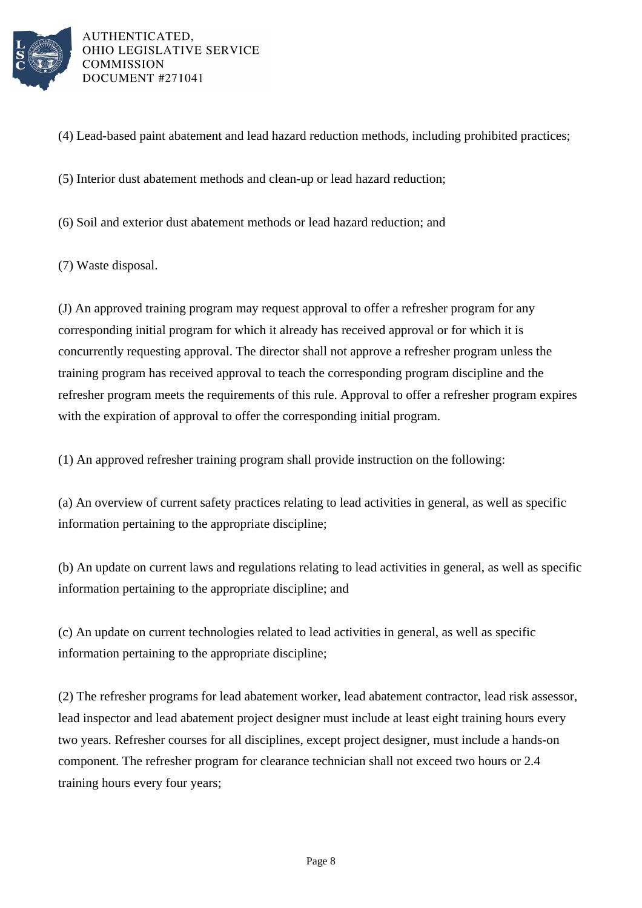

(4) Lead-based paint abatement and lead hazard reduction methods, including prohibited practices;

(5) Interior dust abatement methods and clean-up or lead hazard reduction;

(6) Soil and exterior dust abatement methods or lead hazard reduction; and

(7) Waste disposal.

(J) An approved training program may request approval to offer a refresher program for any corresponding initial program for which it already has received approval or for which it is concurrently requesting approval. The director shall not approve a refresher program unless the training program has received approval to teach the corresponding program discipline and the refresher program meets the requirements of this rule. Approval to offer a refresher program expires with the expiration of approval to offer the corresponding initial program.

(1) An approved refresher training program shall provide instruction on the following:

(a) An overview of current safety practices relating to lead activities in general, as well as specific information pertaining to the appropriate discipline;

(b) An update on current laws and regulations relating to lead activities in general, as well as specific information pertaining to the appropriate discipline; and

(c) An update on current technologies related to lead activities in general, as well as specific information pertaining to the appropriate discipline;

(2) The refresher programs for lead abatement worker, lead abatement contractor, lead risk assessor, lead inspector and lead abatement project designer must include at least eight training hours every two years. Refresher courses for all disciplines, except project designer, must include a hands-on component. The refresher program for clearance technician shall not exceed two hours or 2.4 training hours every four years;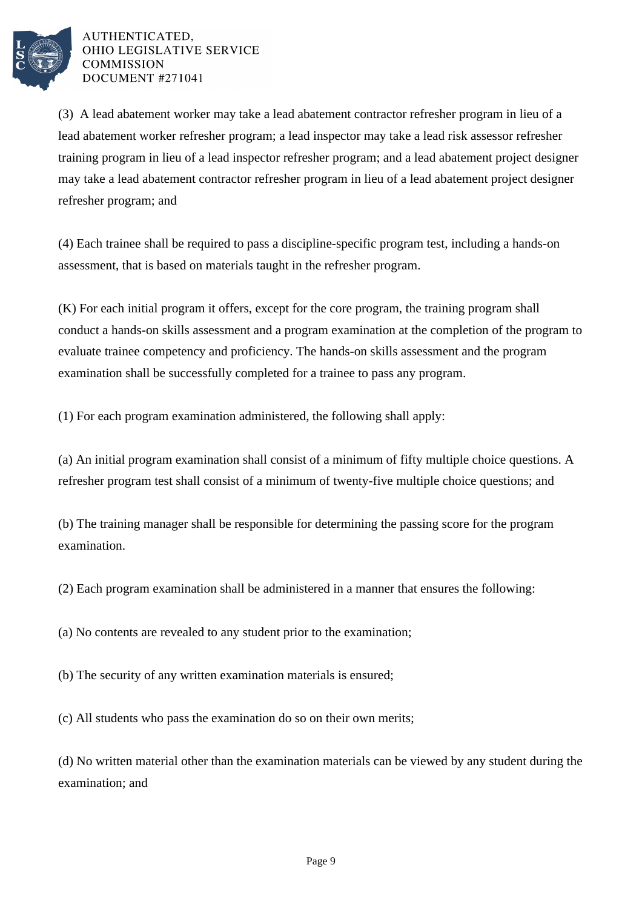

(3) A lead abatement worker may take a lead abatement contractor refresher program in lieu of a lead abatement worker refresher program; a lead inspector may take a lead risk assessor refresher training program in lieu of a lead inspector refresher program; and a lead abatement project designer may take a lead abatement contractor refresher program in lieu of a lead abatement project designer refresher program; and

(4) Each trainee shall be required to pass a discipline-specific program test, including a hands-on assessment, that is based on materials taught in the refresher program.

(K) For each initial program it offers, except for the core program, the training program shall conduct a hands-on skills assessment and a program examination at the completion of the program to evaluate trainee competency and proficiency. The hands-on skills assessment and the program examination shall be successfully completed for a trainee to pass any program.

(1) For each program examination administered, the following shall apply:

(a) An initial program examination shall consist of a minimum of fifty multiple choice questions. A refresher program test shall consist of a minimum of twenty-five multiple choice questions; and

(b) The training manager shall be responsible for determining the passing score for the program examination.

(2) Each program examination shall be administered in a manner that ensures the following:

(a) No contents are revealed to any student prior to the examination;

(b) The security of any written examination materials is ensured;

(c) All students who pass the examination do so on their own merits;

(d) No written material other than the examination materials can be viewed by any student during the examination; and